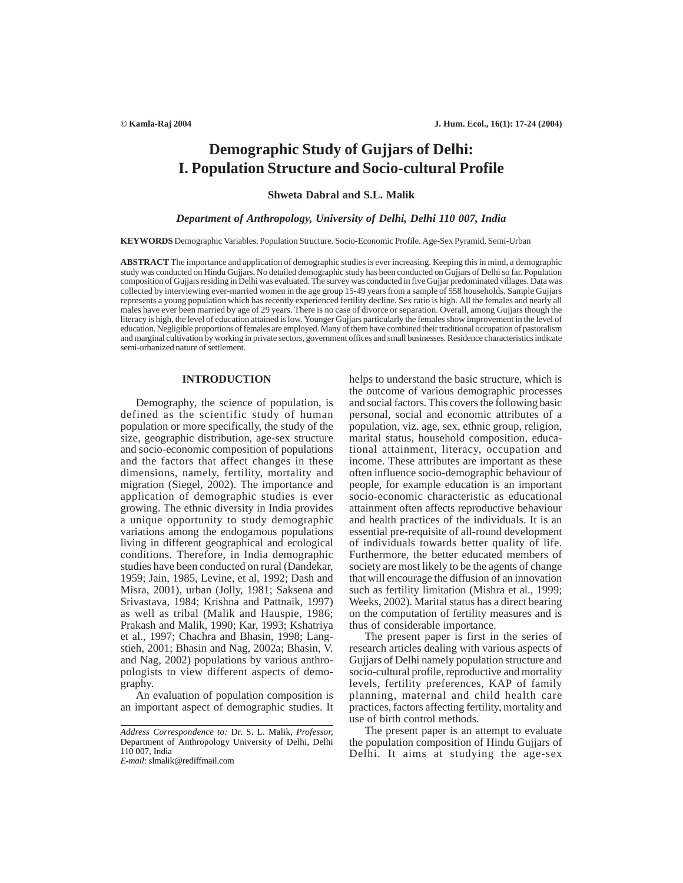# **Demographic Study of Gujjars of Delhi: I. Population Structure and Socio-cultural Profile**

**Shweta Dabral and S.L. Malik**

*Department of Anthropology, University of Delhi, Delhi 110 007, India*

**KEYWORDS** Demographic Variables. Population Structure. Socio-Economic Profile. Age-Sex Pyramid. Semi-Urban

**ABSTRACT** The importance and application of demographic studies is ever increasing. Keeping this in mind, a demographic study was conducted on Hindu Gujjars. No detailed demographic study has been conducted on Gujjars of Delhi so far. Population composition of Gujjars residing in Delhi was evaluated. The survey was conducted in five Gujjar predominated villages. Data was collected by interviewing ever-married women in the age group 15-49 years from a sample of 558 households. Sample Gujjars represents a young population which has recently experienced fertility decline. Sex ratio is high. All the females and nearly all males have ever been married by age of 29 years. There is no case of divorce or separation. Overall, among Gujjars though the literacy is high, the level of education attained is low. Younger Gujjars particularly the females show improvement in the level of education. Negligible proportions of females are employed. Many of them have combined their traditional occupation of pastoralism and marginal cultivation by working in private sectors, government offices and small businesses. Residence characteristics indicate semi-urbanized nature of settlement.

### **INTRODUCTION**

Demography, the science of population, is defined as the scientific study of human population or more specifically, the study of the size, geographic distribution, age-sex structure and socio-economic composition of populations and the factors that affect changes in these dimensions, namely, fertility, mortality and migration (Siegel, 2002). The importance and application of demographic studies is ever growing. The ethnic diversity in India provides a unique opportunity to study demographic variations among the endogamous populations living in different geographical and ecological conditions. Therefore, in India demographic studies have been conducted on rural (Dandekar, 1959; Jain, 1985, Levine, et al, 1992; Dash and Misra, 2001), urban (Jolly, 1981; Saksena and Srivastava, 1984; Krishna and Pattnaik, 1997) as well as tribal (Malik and Hauspie, 1986; Prakash and Malik, 1990; Kar, 1993; Kshatriya et al., 1997; Chachra and Bhasin, 1998; Langstieh, 2001; Bhasin and Nag, 2002a; Bhasin, V. and Nag, 2002) populations by various anthropologists to view different aspects of demography.

An evaluation of population composition is an important aspect of demographic studies. It helps to understand the basic structure, which is the outcome of various demographic processes and social factors. This covers the following basic personal, social and economic attributes of a population, viz. age, sex, ethnic group, religion, marital status, household composition, educational attainment, literacy, occupation and income. These attributes are important as these often influence socio-demographic behaviour of people, for example education is an important socio-economic characteristic as educational attainment often affects reproductive behaviour and health practices of the individuals. It is an essential pre-requisite of all-round development of individuals towards better quality of life. Furthermore, the better educated members of society are most likely to be the agents of change that will encourage the diffusion of an innovation such as fertility limitation (Mishra et al., 1999; Weeks, 2002). Marital status has a direct bearing on the computation of fertility measures and is thus of considerable importance.

The present paper is first in the series of research articles dealing with various aspects of Gujjars of Delhi namely population structure and socio-cultural profile, reproductive and mortality levels, fertility preferences, KAP of family planning, maternal and child health care practices, factors affecting fertility, mortality and use of birth control methods.

The present paper is an attempt to evaluate the population composition of Hindu Gujjars of Delhi. It aims at studying the age-sex

*Address Correspondence to:* Dr. S. L. Malik, *Professor,* Department of Anthropology University of Delhi, Delhi 110 007, India

*E-mail:* slmalik@rediffmail.com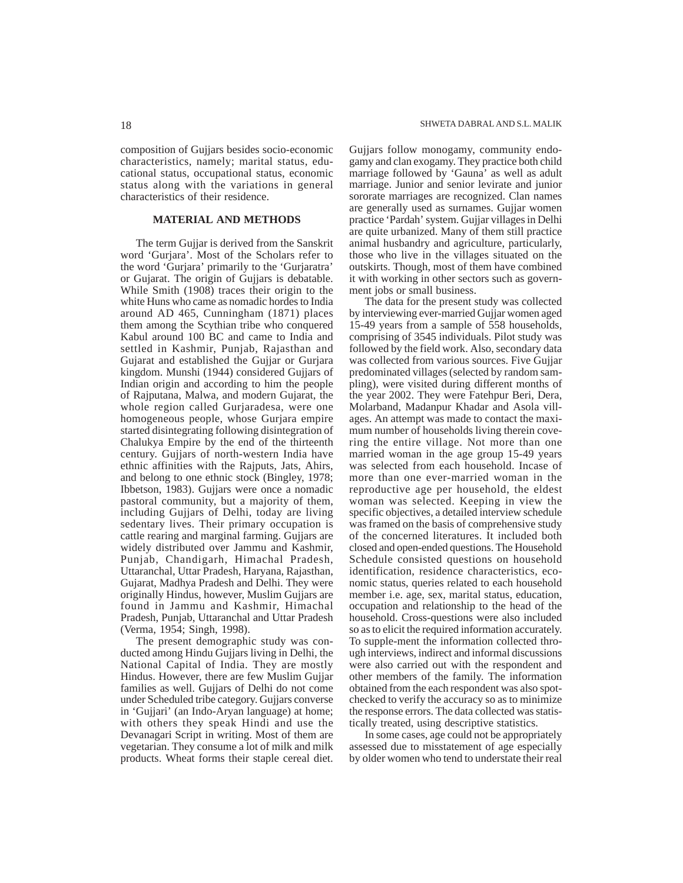composition of Gujjars besides socio-economic characteristics, namely; marital status, educational status, occupational status, economic status along with the variations in general characteristics of their residence.

## **MATERIAL AND METHODS**

The term Gujjar is derived from the Sanskrit word 'Gurjara'. Most of the Scholars refer to the word 'Gurjara' primarily to the 'Gurjaratra' or Gujarat. The origin of Gujjars is debatable. While Smith (1908) traces their origin to the white Huns who came as nomadic hordes to India around AD 465, Cunningham (1871) places them among the Scythian tribe who conquered Kabul around 100 BC and came to India and settled in Kashmir, Punjab, Rajasthan and Gujarat and established the Gujjar or Gurjara kingdom. Munshi (1944) considered Gujjars of Indian origin and according to him the people of Rajputana, Malwa, and modern Gujarat, the whole region called Gurjaradesa, were one homogeneous people, whose Gurjara empire started disintegrating following disintegration of Chalukya Empire by the end of the thirteenth century. Gujjars of north-western India have ethnic affinities with the Rajputs, Jats, Ahirs, and belong to one ethnic stock (Bingley, 1978; Ibbetson, 1983). Gujjars were once a nomadic pastoral community, but a majority of them, including Gujjars of Delhi, today are living sedentary lives. Their primary occupation is cattle rearing and marginal farming. Gujjars are widely distributed over Jammu and Kashmir, Punjab, Chandigarh, Himachal Pradesh, Uttaranchal, Uttar Pradesh, Haryana, Rajasthan, Gujarat, Madhya Pradesh and Delhi. They were originally Hindus, however, Muslim Gujjars are found in Jammu and Kashmir, Himachal Pradesh, Punjab, Uttaranchal and Uttar Pradesh (Verma, 1954; Singh, 1998).

The present demographic study was conducted among Hindu Gujjars living in Delhi, the National Capital of India. They are mostly Hindus. However, there are few Muslim Gujjar families as well. Gujjars of Delhi do not come under Scheduled tribe category. Gujjars converse in 'Gujjari' (an Indo-Aryan language) at home; with others they speak Hindi and use the Devanagari Script in writing. Most of them are vegetarian. They consume a lot of milk and milk products. Wheat forms their staple cereal diet.

Gujjars follow monogamy, community endogamy and clan exogamy. They practice both child marriage followed by 'Gauna' as well as adult marriage. Junior and senior levirate and junior sororate marriages are recognized. Clan names are generally used as surnames. Gujjar women practice 'Pardah' system. Gujjar villages in Delhi are quite urbanized. Many of them still practice animal husbandry and agriculture, particularly, those who live in the villages situated on the outskirts. Though, most of them have combined it with working in other sectors such as government jobs or small business.

The data for the present study was collected by interviewing ever-married Gujjar women aged 15-49 years from a sample of 558 households, comprising of 3545 individuals. Pilot study was followed by the field work. Also, secondary data was collected from various sources. Five Gujjar predominated villages (selected by random sampling), were visited during different months of the year 2002. They were Fatehpur Beri, Dera, Molarband, Madanpur Khadar and Asola villages. An attempt was made to contact the maximum number of households living therein covering the entire village. Not more than one married woman in the age group 15-49 years was selected from each household. Incase of more than one ever-married woman in the reproductive age per household, the eldest woman was selected. Keeping in view the specific objectives, a detailed interview schedule was framed on the basis of comprehensive study of the concerned literatures. It included both closed and open-ended questions. The Household Schedule consisted questions on household identification, residence characteristics, economic status, queries related to each household member i.e. age, sex, marital status, education, occupation and relationship to the head of the household. Cross-questions were also included so as to elicit the required information accurately. To supple-ment the information collected through interviews, indirect and informal discussions were also carried out with the respondent and other members of the family. The information obtained from the each respondent was also spotchecked to verify the accuracy so as to minimize the response errors. The data collected was statistically treated, using descriptive statistics.

In some cases, age could not be appropriately assessed due to misstatement of age especially by older women who tend to understate their real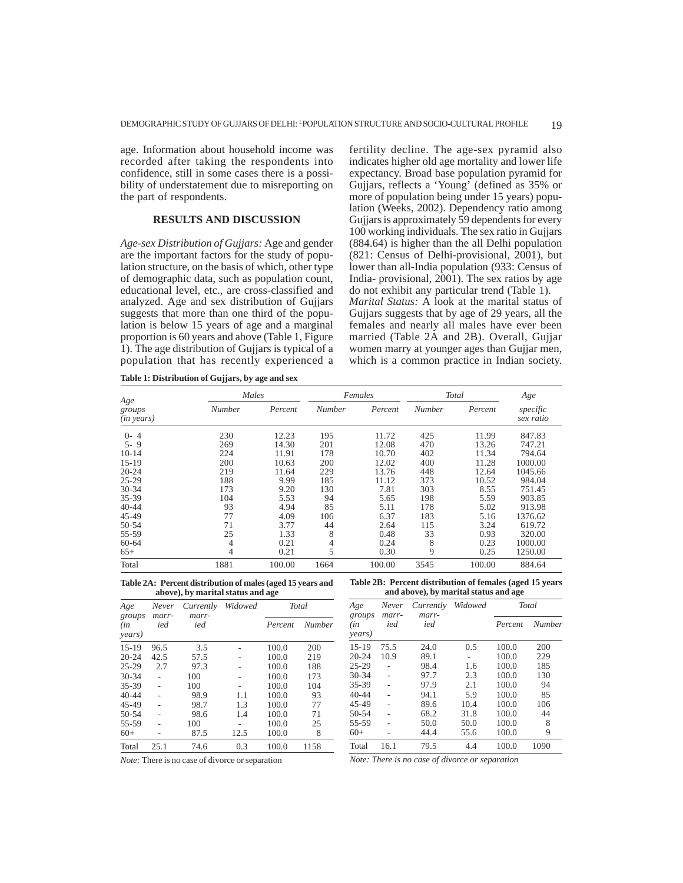age. Information about household income was recorded after taking the respondents into confidence, still in some cases there is a possibility of understatement due to misreporting on the part of respondents.

## **RESULTS AND DISCUSSION**

*Age-sex Distribution of Gujjars:* Age and gender are the important factors for the study of population structure, on the basis of which, other type of demographic data, such as population count, educational level, etc., are cross-classified and analyzed. Age and sex distribution of Gujjars suggests that more than one third of the population is below 15 years of age and a marginal proportion is 60 years and above (Table 1, Figure 1). The age distribution of Gujjars is typical of a population that has recently experienced a fertility decline. The age-sex pyramid also indicates higher old age mortality and lower life expectancy. Broad base population pyramid for Gujjars, reflects a 'Young' (defined as 35% or more of population being under 15 years) population (Weeks, 2002). Dependency ratio among Gujjars is approximately 59 dependents for every 100 working individuals. The sex ratio in Gujjars (884.64) is higher than the all Delhi population (821: Census of Delhi-provisional, 2001), but lower than all-India population (933: Census of India- provisional,  $2001$ ). The sex ratios by age do not exhibit any particular trend (Table 1). *Marital Status:* A look at the marital status of Gujjars suggests that by age of 29 years, all the females and nearly all males have ever been married (Table 2A and 2B). Overall, Gujjar women marry at younger ages than Gujjar men, which is a common practice in Indian society.

**Table 1: Distribution of Gujjars, by age and sex**

| Age                  | Males  |         |        | Females |        | Total   | Age                   |
|----------------------|--------|---------|--------|---------|--------|---------|-----------------------|
| groups<br>(in years) | Number | Percent | Number | Percent | Number | Percent | specific<br>sex ratio |
| $0 - 4$              | 230    | 12.23   | 195    | 11.72   | 425    | 11.99   | 847.83                |
| 9<br>$5 -$           | 269    | 14.30   | 201    | 12.08   | 470    | 13.26   | 747.21                |
| $10-14$              | 224    | 11.91   | 178    | 10.70   | 402    | 11.34   | 794.64                |
| $15-19$              | 200    | 10.63   | 200    | 12.02   | 400    | 11.28   | 1000.00               |
| $20 - 24$            | 219    | 11.64   | 229    | 13.76   | 448    | 12.64   | 1045.66               |
| $25-29$              | 188    | 9.99    | 185    | 11.12   | 373    | 10.52   | 984.04                |
| $30 - 34$            | 173    | 9.20    | 130    | 7.81    | 303    | 8.55    | 751.45                |
| 35-39                | 104    | 5.53    | 94     | 5.65    | 198    | 5.59    | 903.85                |
| $40 - 44$            | 93     | 4.94    | 85     | 5.11    | 178    | 5.02    | 913.98                |
| 45-49                | 77     | 4.09    | 106    | 6.37    | 183    | 5.16    | 1376.62               |
| 50-54                | 71     | 3.77    | 44     | 2.64    | 115    | 3.24    | 619.72                |
| 55-59                | 25     | 1.33    | 8      | 0.48    | 33     | 0.93    | 320.00                |
| $60 - 64$            | 4      | 0.21    | 4      | 0.24    | 8      | 0.23    | 1000.00               |
| $65+$                | 4      | 0.21    | 5      | 0.30    | 9      | 0.25    | 1250.00               |
| Total                | 1881   | 100.00  | 1664   | 100.00  | 3545   | 100.00  | 884.64                |

**Table 2A: Percent distribution of males (aged 15 years and above), by marital status and age**

**Table 2B: Percent distribution of females (aged 15 years and above), by marital status and age**

|               |                |                    |         | $\tilde{\phantom{a}}$ |               |
|---------------|----------------|--------------------|---------|-----------------------|---------------|
| Age<br>groups | Never<br>marr- | Currently<br>marr- | Widowed |                       | Total         |
| (in<br>years) | ied            | ied                |         | Percent               | <b>Number</b> |
| $15 - 19$     | 96.5           | 3.5                |         | 100.0                 | 200           |
| $20 - 24$     | 42.5           | 57.5               |         | 100.0                 | 219           |
| 25-29         | 2.7            | 97.3               |         | 100.0                 | 188           |
| $30 - 34$     |                | 100                |         | 100.0                 | 173           |
| 35-39         |                | 100                |         | 100.0                 | 104           |
| 40-44         |                | 98.9               | 1.1     | 100.0                 | 93            |
| 45-49         | L,             | 98.7               | 1.3     | 100.0                 | 77            |
| 50-54         |                | 98.6               | 1.4     | 100.0                 | 71            |
| 55-59         |                | 100                |         | 100.0                 | 25            |
| $60+$         |                | 87.5               | 12.5    | 100.0                 | 8             |
| Total         | 25.1           | 74.6               | 0.3     | 100.0                 | 1158          |

| Age                     | Widowed<br>Never<br>Currently |              | <b>Total</b> |         |        |
|-------------------------|-------------------------------|--------------|--------------|---------|--------|
| groups<br>(in<br>years) | marr-<br>ied                  | marr-<br>ied |              | Percent | Number |
| $15 - 19$               | 75.5                          | 24.0         | 0.5          | 100.0   | 200    |
| $20 - 24$               | 10.9                          | 89.1         |              | 100.0   | 229    |
| $25 - 29$               |                               | 98.4         | 1.6          | 100.0   | 185    |
| $30 - 34$               |                               | 97.7         | 2.3          | 100.0   | 130    |
| 35-39                   |                               | 97.9         | 2.1          | 100.0   | 94     |
| $40 - 44$               |                               | 94.1         | 5.9          | 100.0   | 85     |
| $45 - 49$               |                               | 89.6         | 10.4         | 100.0   | 106    |
| $50 - 54$               |                               | 68.2         | 31.8         | 100.0   | 44     |
| 55-59                   |                               | 50.0         | 50.0         | 100.0   | 8      |
| $60+$                   |                               | 44.4         | 55.6         | 100.0   | 9      |
| Total                   | 16.1                          | 79.5         | 4.4          | 100.0   | 1090   |

*Note:* There is no case of divorce or separation

*Note: There is no case of divorce or separation*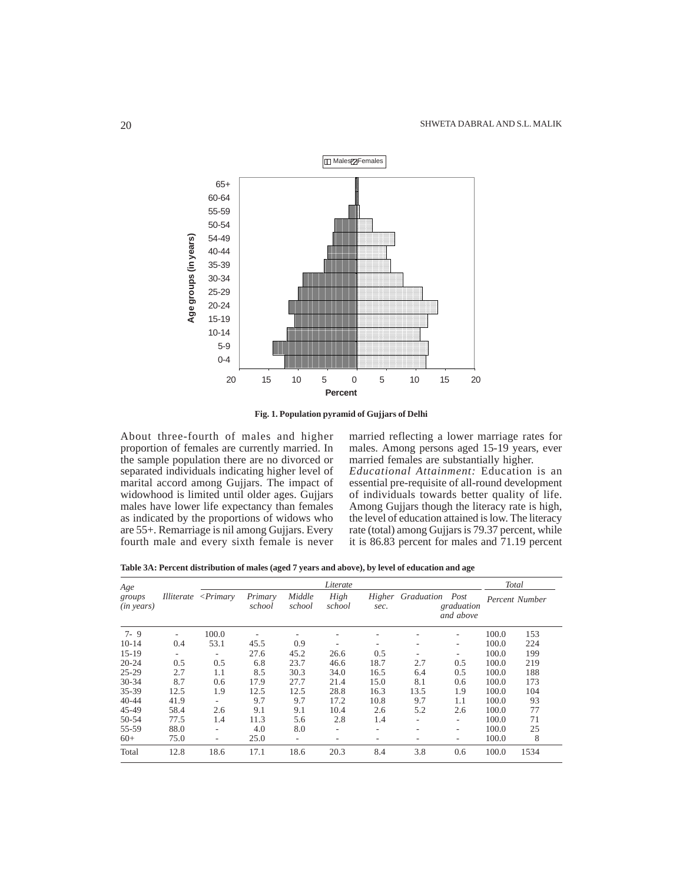

**Fig. 1. Population pyramid of Gujjars of Delhi**

About three-fourth of males and higher proportion of females are currently married. In the sample population there are no divorced or separated individuals indicating higher level of marital accord among Gujjars. The impact of widowhood is limited until older ages. Gujjars males have lower life expectancy than females as indicated by the proportions of widows who are 55+. Remarriage is nil among Gujjars. Every fourth male and every sixth female is never married reflecting a lower marriage rates for males. Among persons aged 15-19 years, ever married females are substantially higher.

*Educational Attainment:* Education is an essential pre-requisite of all-round development of individuals towards better quality of life. Among Gujjars though the literacy rate is high, the level of education attained is low. The literacy rate (total) among Gujjars is 79.37 percent, while it is 86.83 percent for males and 71.19 percent

**Table 3A: Percent distribution of males (aged 7 years and above), by level of education and age**

| Age                       |      |                                                                                                                                                                                                                                  |                   |                          | Literate       |      |                        |                          |       | Total          |
|---------------------------|------|----------------------------------------------------------------------------------------------------------------------------------------------------------------------------------------------------------------------------------|-------------------|--------------------------|----------------|------|------------------------|--------------------------|-------|----------------|
| groups<br>$(in \, years)$ |      | Illiterate <primary< th=""><th>Primary<br/>school</th><th>Middle<br/>school</th><th>High<br/>school</th><th>sec.</th><th>Higher Graduation Post</th><th>graduation<br/>and above</th><th></th><th>Percent Number</th></primary<> | Primary<br>school | Middle<br>school         | High<br>school | sec. | Higher Graduation Post | graduation<br>and above  |       | Percent Number |
| $7 - 9$                   |      | 100.0                                                                                                                                                                                                                            |                   |                          |                |      |                        | ۰                        | 100.0 | 153            |
| $10-14$                   | 0.4  | 53.1                                                                                                                                                                                                                             | 45.5              | 0.9                      | ۰              |      | ٠                      | $\overline{\phantom{a}}$ | 100.0 | 224            |
| $15-19$                   |      | -                                                                                                                                                                                                                                | 27.6              | 45.2                     | 26.6           | 0.5  |                        | $\overline{\phantom{0}}$ | 100.0 | 199            |
| $20 - 24$                 | 0.5  | 0.5                                                                                                                                                                                                                              | 6.8               | 23.7                     | 46.6           | 18.7 | 2.7                    | 0.5                      | 100.0 | 219            |
| $25 - 29$                 | 2.7  | 1.1                                                                                                                                                                                                                              | 8.5               | 30.3                     | 34.0           | 16.5 | 6.4                    | 0.5                      | 100.0 | 188            |
| $30-34$                   | 8.7  | 0.6                                                                                                                                                                                                                              | 17.9              | 27.7                     | 21.4           | 15.0 | 8.1                    | 0.6                      | 100.0 | 173            |
| 35-39                     | 12.5 | 1.9                                                                                                                                                                                                                              | 12.5              | 12.5                     | 28.8           | 16.3 | 13.5                   | 1.9                      | 100.0 | 104            |
| $40 - 44$                 | 41.9 |                                                                                                                                                                                                                                  | 9.7               | 9.7                      | 17.2           | 10.8 | 9.7                    | 1.1                      | 100.0 | 93             |
| 45-49                     | 58.4 | 2.6                                                                                                                                                                                                                              | 9.1               | 9.1                      | 10.4           | 2.6  | 5.2                    | 2.6                      | 100.0 | 77             |
| $50 - 54$                 | 77.5 | 1.4                                                                                                                                                                                                                              | 11.3              | 5.6                      | 2.8            | 1.4  |                        | ۰                        | 100.0 | 71             |
| 55-59                     | 88.0 | ٠                                                                                                                                                                                                                                | 4.0               | 8.0                      | ۰              |      |                        | $\overline{\phantom{a}}$ | 100.0 | 25             |
| $60+$                     | 75.0 | -                                                                                                                                                                                                                                | 25.0              | $\overline{\phantom{a}}$ | ٠              | ٠    | ٠                      | $\overline{\phantom{a}}$ | 100.0 | 8              |
| Total                     | 12.8 | 18.6                                                                                                                                                                                                                             | 17.1              | 18.6                     | 20.3           | 8.4  | 3.8                    | 0.6                      | 100.0 | 1534           |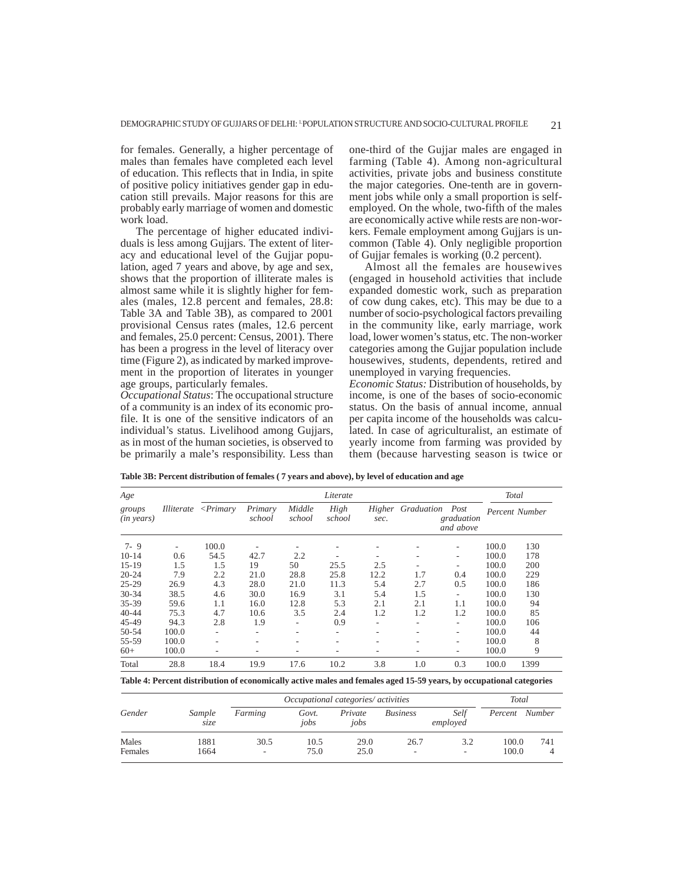for females. Generally, a higher percentage of males than females have completed each level of education. This reflects that in India, in spite of positive policy initiatives gender gap in education still prevails. Major reasons for this are probably early marriage of women and domestic work load.

The percentage of higher educated individuals is less among Gujjars. The extent of literacy and educational level of the Gujjar population, aged 7 years and above, by age and sex, shows that the proportion of illiterate males is almost same while it is slightly higher for females (males, 12.8 percent and females, 28.8: Table 3A and Table 3B), as compared to 2001 provisional Census rates (males, 12.6 percent and females, 25.0 percent: Census, 2001). There has been a progress in the level of literacy over time (Figure 2), as indicated by marked improvement in the proportion of literates in younger age groups, particularly females.

*Occupational Status*: The occupational structure of a community is an index of its economic profile. It is one of the sensitive indicators of an individual's status. Livelihood among Gujjars, as in most of the human societies, is observed to be primarily a male's responsibility. Less than one-third of the Gujjar males are engaged in farming (Table 4). Among non-agricultural activities, private jobs and business constitute the major categories. One-tenth are in government jobs while only a small proportion is selfemployed. On the whole, two-fifth of the males are economically active while rests are non-workers. Female employment among Gujjars is uncommon (Table 4). Only negligible proportion of Gujjar females is working (0.2 percent).

Almost all the females are housewives (engaged in household activities that include expanded domestic work, such as preparation of cow dung cakes, etc). This may be due to a number of socio-psychological factors prevailing in the community like, early marriage, work load, lower women's status, etc. The non-worker categories among the Gujjar population include housewives, students, dependents, retired and unemployed in varying frequencies.

*Economic Status:* Distribution of households, by income, is one of the bases of socio-economic status. On the basis of annual income, annual per capita income of the households was calculated. In case of agriculturalist, an estimate of yearly income from farming was provided by them (because harvesting season is twice or

**Table 3B: Percent distribution of females ( 7 years and above), by level of education and age**

| Age                  |       |                                                                                                                                                                                                                                      |                          |                          | Literate       |                          |                   |                                 |       | Total          |
|----------------------|-------|--------------------------------------------------------------------------------------------------------------------------------------------------------------------------------------------------------------------------------------|--------------------------|--------------------------|----------------|--------------------------|-------------------|---------------------------------|-------|----------------|
| groups<br>(in years) |       | Illiterate <primary< th=""><th>Primary<br/>school</th><th>Middle<br/>school</th><th>High<br/>school</th><th>sec.</th><th>Higher Graduation</th><th>Post<br/>graduation<br/>and above</th><th></th><th>Percent Number</th></primary<> | Primary<br>school        | Middle<br>school         | High<br>school | sec.                     | Higher Graduation | Post<br>graduation<br>and above |       | Percent Number |
| $7 - 9$              |       | 100.0                                                                                                                                                                                                                                |                          |                          |                |                          |                   | ٠                               | 100.0 | 130            |
| $10-14$              | 0.6   | 54.5                                                                                                                                                                                                                                 | 42.7                     | 2.2                      | ۰              | $\overline{\phantom{a}}$ | ٠                 | ۰                               | 100.0 | 178            |
| $15-19$              | 1.5   | 1.5                                                                                                                                                                                                                                  | 19                       | 50                       | 25.5           | 2.5                      | ٠                 | ۰                               | 100.0 | 200            |
| $20 - 24$            | 7.9   | 2.2                                                                                                                                                                                                                                  | 21.0                     | 28.8                     | 25.8           | 12.2                     | 1.7               | 0.4                             | 100.0 | 229            |
| $25 - 29$            | 26.9  | 4.3                                                                                                                                                                                                                                  | 28.0                     | 21.0                     | 11.3           | 5.4                      | 2.7               | 0.5                             | 100.0 | 186            |
| $30 - 34$            | 38.5  | 4.6                                                                                                                                                                                                                                  | 30.0                     | 16.9                     | 3.1            | 5.4                      | 1.5               | ۰                               | 100.0 | 130            |
| 35-39                | 59.6  | 1.1                                                                                                                                                                                                                                  | 16.0                     | 12.8                     | 5.3            | 2.1                      | 2.1               | 1.1                             | 100.0 | 94             |
| $40 - 44$            | 75.3  | 4.7                                                                                                                                                                                                                                  | 10.6                     | 3.5                      | 2.4            | 1.2                      | 1.2               | 1.2                             | 100.0 | 85             |
| 45-49                | 94.3  | 2.8                                                                                                                                                                                                                                  | 1.9                      | ۰                        | 0.9            |                          | ۰                 | ۰                               | 100.0 | 106            |
| $50 - 54$            | 100.0 |                                                                                                                                                                                                                                      | $\overline{\phantom{a}}$ | $\overline{\phantom{a}}$ | -              | ۰                        | ٠                 | ۰                               | 100.0 | 44             |
| 55-59                | 100.0 | ٠                                                                                                                                                                                                                                    | $\overline{\phantom{a}}$ | $\overline{\phantom{a}}$ | -              | ٠                        | ٠                 | ٠                               | 100.0 | 8              |
| $60+$                | 100.0 | ۰                                                                                                                                                                                                                                    | ٠                        | $\overline{\phantom{a}}$ | -              | ۰                        | ٠                 | ٠                               | 100.0 | 9              |
| Total                | 28.8  | 18.4                                                                                                                                                                                                                                 | 19.9                     | 17.6                     | 10.2           | 3.8                      | 1.0               | 0.3                             | 100.0 | 1399           |

**Table 4: Percent distribution of economically active males and females aged 15-59 years, by occupational categories**

|                  |                |                                  |               | Occupational categories/ activities |                 |                  | Total          |                |
|------------------|----------------|----------------------------------|---------------|-------------------------------------|-----------------|------------------|----------------|----------------|
| Gender           | Sample<br>size | Farming                          | Govt.<br>iobs | Private<br>jobs                     | <i>Business</i> | Self<br>employed |                | Percent Number |
| Males<br>Females | 1881<br>1664   | 30.5<br>$\overline{\phantom{a}}$ | 10.5<br>75.0  | 29.0<br>25.0                        | 26.7<br>-       | 3.2<br>-         | 100.0<br>100.0 | 741            |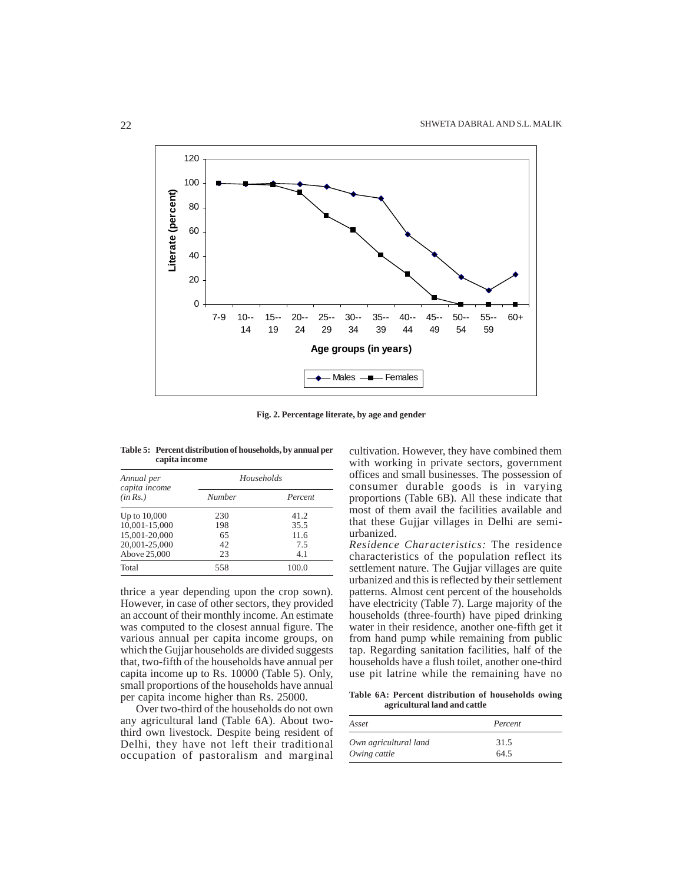

**Fig. 2. Percentage literate, by age and gender**

| Table 5: Percent distribution of households, by annual per |
|------------------------------------------------------------|
| capita income                                              |

| Annual per                | Households    |         |  |  |
|---------------------------|---------------|---------|--|--|
| capita income<br>(in Rs.) | <b>Number</b> | Percent |  |  |
| Up to 10,000              | 230           | 41.2    |  |  |
| 10,001-15,000             | 198           | 35.5    |  |  |
| 15,001-20,000             | 65            | 11.6    |  |  |
| 20,001-25,000             | 42            | 7.5     |  |  |
| Above 25,000              | 23            | 4.1     |  |  |
| Total                     | 558           | 100.0   |  |  |

thrice a year depending upon the crop sown). However, in case of other sectors, they provided an account of their monthly income. An estimate was computed to the closest annual figure. The various annual per capita income groups, on which the Gujjar households are divided suggests that, two-fifth of the households have annual per capita income up to Rs. 10000 (Table 5). Only, small proportions of the households have annual per capita income higher than Rs. 25000.

Over two-third of the households do not own any agricultural land (Table 6A). About twothird own livestock. Despite being resident of Delhi, they have not left their traditional occupation of pastoralism and marginal cultivation. However, they have combined them with working in private sectors, government offices and small businesses. The possession of consumer durable goods is in varying proportions (Table 6B). All these indicate that most of them avail the facilities available and that these Gujjar villages in Delhi are semiurbanized.

*Residence Characteristics:* The residence characteristics of the population reflect its settlement nature. The Gujjar villages are quite urbanized and this is reflected by their settlement patterns. Almost cent percent of the households have electricity (Table 7). Large majority of the households (three-fourth) have piped drinking water in their residence, another one-fifth get it from hand pump while remaining from public tap. Regarding sanitation facilities, half of the households have a flush toilet, another one-third use pit latrine while the remaining have no

**Table 6A: Percent distribution of households owing agricultural land and cattle**

| Asset                 | Percent |  |
|-----------------------|---------|--|
| Own agricultural land | 31.5    |  |
| Owing cattle          | 64.5    |  |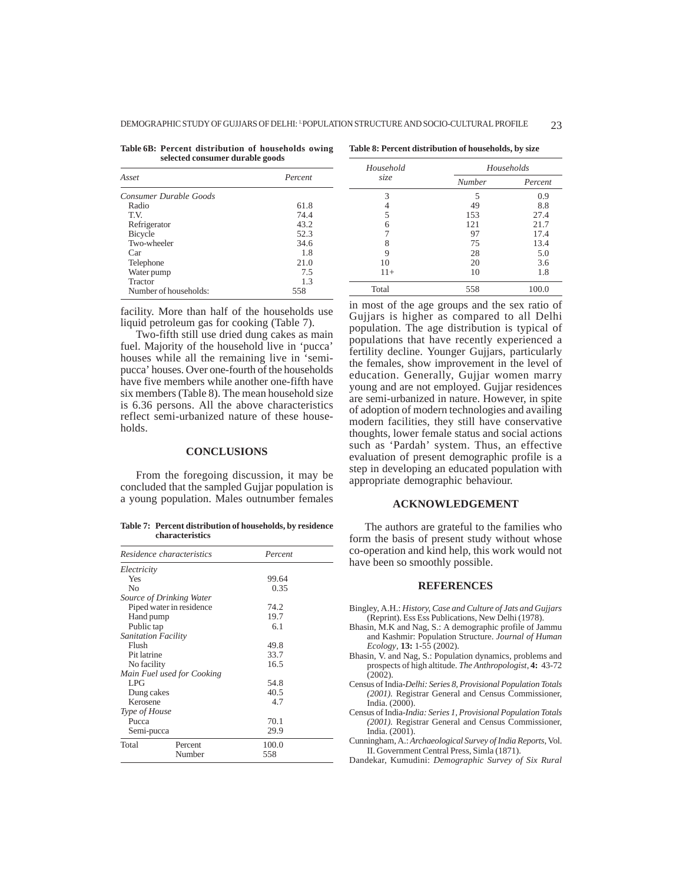**Table 6B: Percent distribution of households owing selected consumer durable goods**

| Asset                  | Percent |
|------------------------|---------|
| Consumer Durable Goods |         |
| Radio                  | 61.8    |
| T.V.                   | 74.4    |
| Refrigerator           | 43.2    |
| <b>Bicycle</b>         | 52.3    |
| Two-wheeler            | 34.6    |
| Car                    | 1.8     |
| Telephone              | 21.0    |
| Water pump             | 7.5     |
| Tractor                | 13      |
| Number of households:  | 558     |

facility. More than half of the households use liquid petroleum gas for cooking (Table 7).

Two-fifth still use dried dung cakes as main fuel. Majority of the household live in 'pucca' houses while all the remaining live in 'semipucca' houses. Over one-fourth of the households have five members while another one-fifth have six members (Table 8). The mean household size is 6.36 persons. All the above characteristics reflect semi-urbanized nature of these households.

## **CONCLUSIONS**

From the foregoing discussion, it may be concluded that the sampled Gujjar population is a young population. Males outnumber females

**Table 7: Percent distribution of households, by residence characteristics**

|                            | Residence characteristics  | Percent |  |
|----------------------------|----------------------------|---------|--|
| Electricity                |                            |         |  |
| Yes                        |                            | 99.64   |  |
| N <sub>0</sub>             |                            | 0.35    |  |
|                            | Source of Drinking Water   |         |  |
|                            | Piped water in residence   | 74.2    |  |
| Hand pump                  |                            | 19.7    |  |
| Public tap                 |                            | 6.1     |  |
| <b>Sanitation Facility</b> |                            |         |  |
| Flush                      |                            | 49.8    |  |
| Pit latrine                |                            | 33.7    |  |
| No facility                |                            | 16.5    |  |
|                            | Main Fuel used for Cooking |         |  |
| LPG                        |                            | 54.8    |  |
| Dung cakes                 |                            | 40.5    |  |
| Kerosene                   |                            | 4.7     |  |
| <b>Type of House</b>       |                            |         |  |
| Pucca                      |                            | 70.1    |  |
| Semi-pucca                 |                            | 29.9    |  |
| Total                      | Percent                    | 100.0   |  |
|                            | Number                     | 558     |  |

| Household | Households |         |  |  |
|-----------|------------|---------|--|--|
| size      | Number     | Percent |  |  |
| 3         | 5          | 0.9     |  |  |
| 4         | 49         | 8.8     |  |  |
| 5         | 153        | 27.4    |  |  |
| 6         | 121        | 21.7    |  |  |
|           | 97         | 17.4    |  |  |
| 8         | 75         | 13.4    |  |  |
| 9         | 28         | 5.0     |  |  |
| 10        | 20         | 3.6     |  |  |
| 11        | $\sim$     | $\sim$  |  |  |

**Table 8: Percent distribution of households, by size**

in most of the age groups and the sex ratio of Gujjars is higher as compared to all Delhi population. The age distribution is typical of populations that have recently experienced a fertility decline. Younger Gujjars, particularly the females, show improvement in the level of education. Generally, Gujjar women marry young and are not employed. Gujjar residences are semi-urbanized in nature. However, in spite of adoption of modern technologies and availing modern facilities, they still have conservative thoughts, lower female status and social actions such as 'Pardah' system. Thus, an effective evaluation of present demographic profile is a 11+ 10 1.8 Total 558 100.0

#### **ACKNOWLEDGEMENT**

step in developing an educated population with

appropriate demographic behaviour.

The authors are grateful to the families who form the basis of present study without whose co-operation and kind help, this work would not have been so smoothly possible.

## **REFERENCES**

- Bingley, A.H.: *History, Case and Culture of Jats and Gujjars* (Reprint). Ess Ess Publications, New Delhi (1978).
- Bhasin, M.K and Nag, S.: A demographic profile of Jammu and Kashmir: Population Structure. *Journal of Human Ecology*, **13:** 1-55 (2002).
- Bhasin, V. and Nag, S.: Population dynamics, problems and prospects of high altitude. *The Anthropologist*, **4:** 43-72  $(2002)$ .
- Census of India-*Delhi: Series 8, Provisional Population Totals (2001).* Registrar General and Census Commissioner, India. (2000).
- Census of India-*India: Series 1, Provisional Population Totals (2001).* Registrar General and Census Commissioner, India. (2001).
- Cunningham, A.: *Archaeological Survey of India Reports*, Vol. II. Government Central Press, Simla (1871).
- Dandekar, Kumudini: *Demographic Survey of Six Rural*